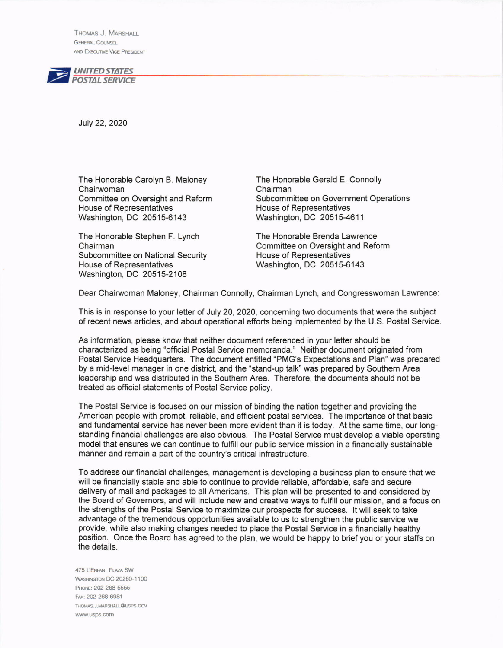THoMAs J. MARSHAL **GENERAL COUNSEL** AND EXECUTIVE VICE PRESIDENT



July 22, 2020

The Honorable Carolyn B. Maloney The Honorable Gerald E. Connolly<br>Chairwoman Committee on Oversight and Reform Subcommittee on Government Ope House of Representatives<br>Washington, DC 20515-6143

Subcommittee on National Security<br>House of Representatives Washington, DC 20515-2108

Subcommittee on Government Operations<br>House of Representatives Washington, DC 20515-4611

The Honorable Stephen F. Lynch The Honorable Brenda Lawrence<br>Chairman Committee on National Security House of Representatives Washington, DC 20515-6143

Dear Chairwoman Maloney, Chairman Connolly, Chairman Lynch, and Congresswoman Lawrence:

This is in response to your letter of July 20, 2020, concerning two documents that were the subject of recent news articles, and about operational efforts being implemented by the U.S. Postal Service.

As information, please know that neither document referenced in your letter should be characterized as being "official Postal Service memoranda." Neither document originated from Postal Service Headquarters. The document entitled "PMG's Expectations and Plan" was prepared by a mid-level manager in one district, and the "stand-up talk" was prepared by Southern Area leadership and was distributed in the Southern Area. Therefore, the documents should not be treated as offlcial statements of Postal Service policy.

The Postal Service is focused on our mission of binding the nation together and providing the American people with prompt, reliable, and efficient postal services. The importance of that basic and fundamental service has never been more evident than it is today. At the same time, our longstanding financial challenges are also obvious. The Postal Service must develop a viable operating model that ensures we can continue to fulfill our public service mission in a financially sustainable manner and remain a part of the country's critical infrastructure.

To address our financial challenges, management is developing a business plan to ensure that we will be financially stable and able to continue to provide reliable, affordable, safe and secure delivery of mail and packages to all Americans. This plan will be presented to and considered by the Board of Governors, and will include new and creative ways to fulfill our mission, and a focus on the strengths of the Postal Service to maximize our prospects for success. lt will seek to take advantage ofthe tremendous opportunities available to us to strengthen the public service we provide, while also making changes needed to place the Postal Service in a financially healthy position. Once the Board has agreed to the plan, we would be happy to brief you or your staffs on the details.

475 L'ENFANT PLAZA SW WASHINGTON DC 20260-1100 PHONE: 202-268-5555 Fax: 202-268-6981 THOMAS.J.MARSHALL@USPS.GOV www.usps.com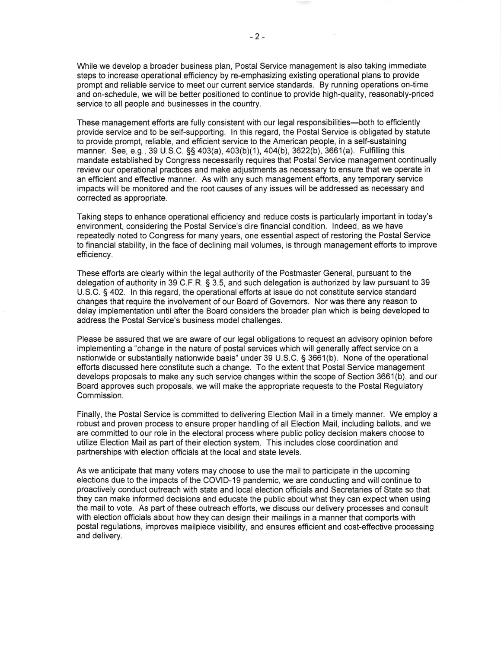While we develop a broader business plan, Postal Service management is also taking immediate steps to increase operational efficiency by re-emphasizing existing operational plans to provide prompt and reliable service to meet our current service standards. By running operations on-time and on-schedule, we will be better positioned to continue to provide high-quality, reasonably-priced service to all people and businesses in the country.

These management efforts are fully consistent with our legal responsibilities-both to efficiently provide service and to be self-supporting. ln this regard, the Postal Service is obligated by statute to provide prompt, reliable, and efficient service to the American people, in a self-sustaining manner. See, e.g., 39 U.S.C. §§ 403(a), 403(b)(1), 404(b), 3622(b), 3661(a). Fulfilling this mandate established by Congress necessarily requires that Postal Service management continually review our operational practices and make adjustments as necessary to ensure that we operate in an efficient and effective manner. As with any such management efforts, any temporary service impacts will be monitored and the root causes of any issues will be addressed as necessary and corrected as appropriate.

Taking steps to enhance operational efficiency and reduce costs is particularly important in today's environment, considering the Postal Service's dire financial condition. lndeed, as we have repeatedly noted to Congress for many years, one essential aspect of restoring the Postal Service to financial stability, in the face of declining mail volumes, is through management efforts to improve efficiency.

These efforts are clearly within the legal authority of the Postmaster General, pursuant to the delegation of authority in 39 C.F.R. S 3.5, and such delegation is authorized by law pursuant to 39 U.S.C. S 402. ln this regard, the operational efforts at issue do not constitute service standard changes that require the involvement of our Board of Governors. Nor was there any reason to delay implementation until after the Board considers the broader plan which is being developed to address the Postal Service's business model challenges.

Please be assured that we are aware of our legal obligations to request an advisory opinion before implementing a "change jn the nature of postal services which will generally affect service on a nationwide or substantially nationwide basis" under 39 U.S.C. S 3661(b). None of the operational efforts discussed here constitute such a change. To the extent that Postal Service management develops proposals to make any such service changes within the scope of Section 3661(b), and our Board approves such proposals, we will make the appropriate requests to the Postal Regulatory Commission.

Finally, the Postal Service is committed to delivering Election Mail in a timely manner. We employ a robust and proven process to ensure proper handling of all Election Mail, including ballots, and we are committed to our role in the electoral process where public policy decision makers choose to utilize Election Mail as part of their election system. This includes close coordination and partnerships with election officials at the local and state levels.

As we anticipate that many voters may choose to use the mail to participate in the upcoming elections due to the impacts of the COVID-19 pandemic, we are conducting and will continue to proactively conduct outreach with state and local election officials and Secretaries of State so that they can make informed decisions and educate the public about what they can expect when using the mail to vote. As part of these outreach efforts, we discuss our delivery processes and consult with election officials about how they can design their mailings in a manner that comports with postal regulations, improves mailpiece visibility, and ensures efficient and cost-etfective processing and delivery.